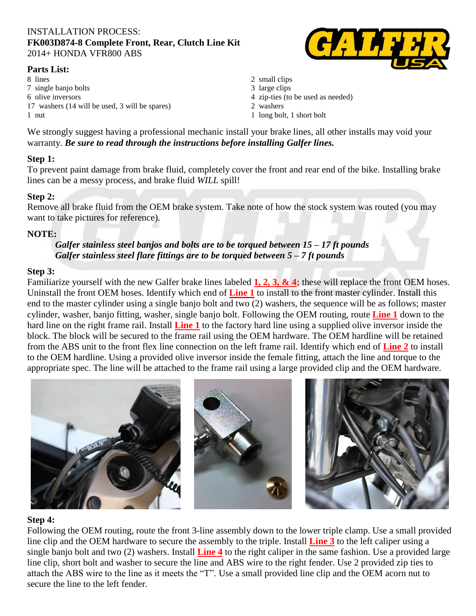#### INSTALLATION PROCESS: **FK003D874-8 Complete Front, Rear, Clutch Line Kit** 2014+ HONDA VFR800 ABS

#### **Parts List:**

8 lines 2 small clips 7 single banjo bolts 3 large clips 6 olive inversors 4 zip-ties (to be used as needed) 17 washers (14 will be used, 3 will be spares) 2 washers 1 nut 1 long bolt, 1 short bolt



- 
- 
- 
- 
- 

We strongly suggest having a professional mechanic install your brake lines, all other installs may void your warranty. *Be sure to read through the instructions before installing Galfer lines.*

## **Step 1:**

To prevent paint damage from brake fluid, completely cover the front and rear end of the bike. Installing brake lines can be a messy process, and brake fluid *WILL* spill!

# **Step 2:**

Remove all brake fluid from the OEM brake system. Take note of how the stock system was routed (you may want to take pictures for reference).

## **NOTE:**

- *Galfer stainless steel banjos and bolts are to be torqued between 15 – 17 ft pounds*
	- *Galfer stainless steel flare fittings are to be torqued between 5 – 7 ft pounds*

## **Step 3:**

Familiarize yourself with the new Galfer brake lines labeled **1, 2, 3, & 4;** these will replace the front OEM hoses. Uninstall the front OEM hoses. Identify which end of **Line 1** to install to the front master cylinder. Install this end to the master cylinder using a single banjo bolt and two (2) washers, the sequence will be as follows; master cylinder, washer, banjo fitting, washer, single banjo bolt. Following the OEM routing, route **Line 1** down to the hard line on the right frame rail. Install **Line 1** to the factory hard line using a supplied olive inversor inside the block. The block will be secured to the frame rail using the OEM hardware. The OEM hardline will be retained from the ABS unit to the front flex line connection on the left frame rail. Identify which end of **Line 2** to install to the OEM hardline. Using a provided olive inversor inside the female fitting, attach the line and torque to the appropriate spec. The line will be attached to the frame rail using a large provided clip and the OEM hardware.



## **Step 4:**

Following the OEM routing, route the front 3-line assembly down to the lower triple clamp. Use a small provided line clip and the OEM hardware to secure the assembly to the triple. Install **Line 3** to the left caliper using a single banjo bolt and two (2) washers. Install **Line 4** to the right caliper in the same fashion. Use a provided large line clip, short bolt and washer to secure the line and ABS wire to the right fender. Use 2 provided zip ties to attach the ABS wire to the line as it meets the "T". Use a small provided line clip and the OEM acorn nut to secure the line to the left fender.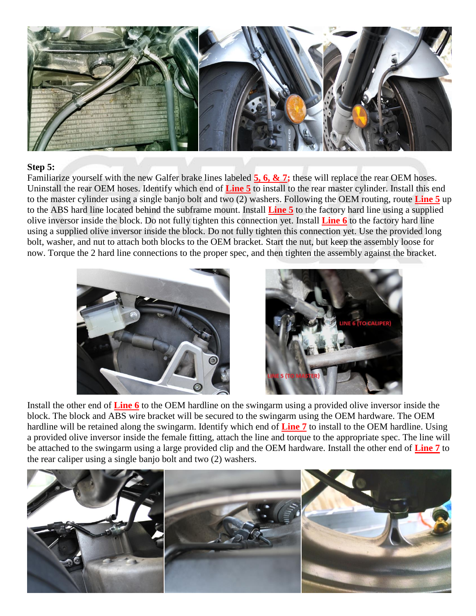

### **Step 5:**

Familiarize yourself with the new Galfer brake lines labeled **5, 6, & 7;** these will replace the rear OEM hoses. Uninstall the rear OEM hoses. Identify which end of **Line 5** to install to the rear master cylinder. Install this end to the master cylinder using a single banjo bolt and two (2) washers. Following the OEM routing, route **Line 5** up to the ABS hard line located behind the subframe mount. Install **Line 5** to the factory hard line using a supplied olive inversor inside the block. Do not fully tighten this connection yet. Install **Line 6** to the factory hard line using a supplied olive inversor inside the block. Do not fully tighten this connection yet. Use the provided long bolt, washer, and nut to attach both blocks to the OEM bracket. Start the nut, but keep the assembly loose for now. Torque the 2 hard line connections to the proper spec, and then tighten the assembly against the bracket.





Install the other end of **Line 6** to the OEM hardline on the swingarm using a provided olive inversor inside the block. The block and ABS wire bracket will be secured to the swingarm using the OEM hardware. The OEM hardline will be retained along the swingarm. Identify which end of **Line 7** to install to the OEM hardline. Using a provided olive inversor inside the female fitting, attach the line and torque to the appropriate spec. The line will be attached to the swingarm using a large provided clip and the OEM hardware. Install the other end of **Line 7** to the rear caliper using a single banjo bolt and two (2) washers.